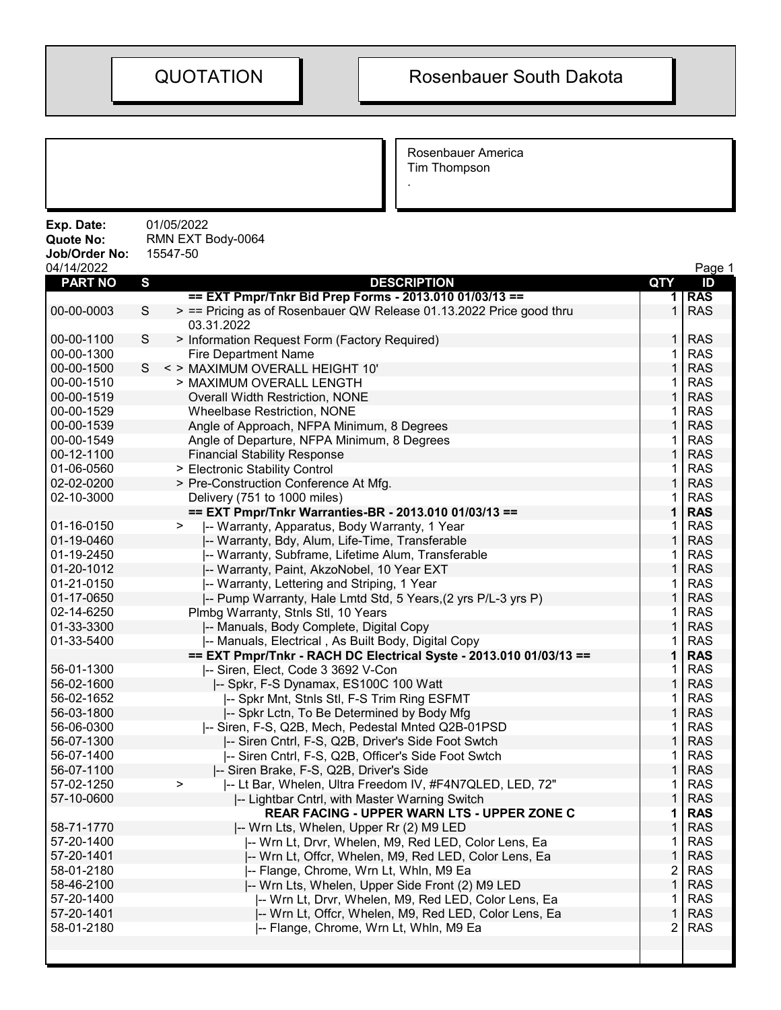Rosenbauer America Tim Thompson

.

| Exp. Date:<br>Quote No:<br>Job/Order No:<br>04/14/2022 | 01/05/2022<br>RMN EXT Body-0064<br>15547-50                                           |                | Page 1                   |
|--------------------------------------------------------|---------------------------------------------------------------------------------------|----------------|--------------------------|
| <b>PART NO</b>                                         | $\mathbf{s}$<br><b>DESCRIPTION</b>                                                    | <b>QTY</b>     | ID                       |
|                                                        | == EXT Pmpr/Tnkr Bid Prep Forms - 2013.010 01/03/13 ==                                | 1.             | <b>RAS</b>               |
| 00-00-0003                                             | > == Pricing as of Rosenbauer QW Release 01.13.2022 Price good thru<br>S              | $\mathbf{1}$   | <b>RAS</b>               |
|                                                        | 03.31.2022                                                                            |                |                          |
| 00-00-1100                                             | S<br>> Information Request Form (Factory Required)                                    | $\mathbf{1}$   | <b>RAS</b>               |
| 00-00-1300                                             | <b>Fire Department Name</b>                                                           | 1              | <b>RAS</b>               |
| 00-00-1500                                             | < > MAXIMUM OVERALL HEIGHT 10'<br>S                                                   | $\mathbf{1}$   | <b>RAS</b>               |
| 00-00-1510                                             | > MAXIMUM OVERALL LENGTH                                                              | 1              | <b>RAS</b>               |
| 00-00-1519                                             | Overall Width Restriction, NONE                                                       | 1              | <b>RAS</b>               |
| 00-00-1529                                             | <b>Wheelbase Restriction, NONE</b>                                                    | 1              | <b>RAS</b>               |
| 00-00-1539                                             | Angle of Approach, NFPA Minimum, 8 Degrees                                            | 1              | <b>RAS</b>               |
| 00-00-1549                                             | Angle of Departure, NFPA Minimum, 8 Degrees                                           | 1              | <b>RAS</b>               |
| 00-12-1100                                             | <b>Financial Stability Response</b>                                                   | 1              | <b>RAS</b>               |
| 01-06-0560                                             | > Electronic Stability Control                                                        | 1              | <b>RAS</b>               |
| 02-02-0200                                             | > Pre-Construction Conference At Mfg.                                                 | 1              | <b>RAS</b>               |
| 02-10-3000                                             | Delivery (751 to 1000 miles)                                                          | 1              | <b>RAS</b>               |
|                                                        | == EXT Pmpr/Tnkr Warranties-BR - 2013.010 01/03/13 ==                                 | 1              | <b>RAS</b>               |
| 01-16-0150                                             | $\geq$<br>-- Warranty, Apparatus, Body Warranty, 1 Year                               | 1              | <b>RAS</b>               |
| 01-19-0460                                             | -- Warranty, Bdy, Alum, Life-Time, Transferable                                       | $\mathbf{1}$   | <b>RAS</b>               |
| 01-19-2450                                             | -- Warranty, Subframe, Lifetime Alum, Transferable                                    | 1              | <b>RAS</b>               |
| 01-20-1012                                             | -- Warranty, Paint, AkzoNobel, 10 Year EXT                                            | 1              | <b>RAS</b>               |
| 01-21-0150                                             | -- Warranty, Lettering and Striping, 1 Year                                           | 1              | <b>RAS</b>               |
| 01-17-0650                                             | -- Pump Warranty, Hale Lmtd Std, 5 Years, (2 yrs P/L-3 yrs P)                         | $\mathbf{1}$   | <b>RAS</b>               |
| 02-14-6250                                             | Plmbg Warranty, Stnls Stl, 10 Years                                                   | 1              | <b>RAS</b>               |
| 01-33-3300                                             | -- Manuals, Body Complete, Digital Copy                                               | 1              | <b>RAS</b>               |
| 01-33-5400                                             | -- Manuals, Electrical, As Built Body, Digital Copy                                   | 1              | <b>RAS</b>               |
| 56-01-1300                                             | == EXT Pmpr/Tnkr - RACH DC Electrical Syste - 2013.010 01/03/13 ==                    | 1<br>1         | <b>RAS</b><br><b>RAS</b> |
| 56-02-1600                                             | -- Siren, Elect, Code 3 3692 V-Con                                                    | 1              | <b>RAS</b>               |
| 56-02-1652                                             | -- Spkr, F-S Dynamax, ES100C 100 Watt<br>I-- Spkr Mnt, Stnls Stl, F-S Trim Ring ESFMT | 1              | <b>RAS</b>               |
| 56-03-1800                                             | -- Spkr Lctn, To Be Determined by Body Mfg                                            | $\mathbf{1}$   | <b>RAS</b>               |
| 56-06-0300                                             | -- Siren, F-S, Q2B, Mech, Pedestal Mnted Q2B-01PSD                                    | 1              | <b>RAS</b>               |
| 56-07-1300                                             | -- Siren Cntrl, F-S, Q2B, Driver's Side Foot Swtch                                    | 1              | <b>RAS</b>               |
| 56-07-1400                                             | -- Siren Cntrl, F-S, Q2B, Officer's Side Foot Swtch                                   | 1              | <b>RAS</b>               |
| 56-07-1100                                             | -- Siren Brake, F-S, Q2B, Driver's Side                                               | $\mathbf{1}$   | <b>RAS</b>               |
| 57-02-1250                                             | I-- Lt Bar, Whelen, Ultra Freedom IV, #F4N7QLED, LED, 72"<br>>                        | 1              | <b>RAS</b>               |
| 57-10-0600                                             | -- Lightbar Cntrl, with Master Warning Switch                                         | 1              | <b>RAS</b>               |
|                                                        | REAR FACING - UPPER WARN LTS - UPPER ZONE C                                           | 1              | <b>RAS</b>               |
| 58-71-1770                                             | -- Wrn Lts, Whelen, Upper Rr (2) M9 LED                                               | 1              | <b>RAS</b>               |
| 57-20-1400                                             | -- Wrn Lt, Drvr, Whelen, M9, Red LED, Color Lens, Ea                                  | 1              | <b>RAS</b>               |
| 57-20-1401                                             | -- Wrn Lt, Offcr, Whelen, M9, Red LED, Color Lens, Ea                                 | $\mathbf 1$    | <b>RAS</b>               |
| 58-01-2180                                             | -- Flange, Chrome, Wrn Lt, Whln, M9 Ea                                                | 2              | <b>RAS</b>               |
| 58-46-2100                                             | -- Wrn Lts, Whelen, Upper Side Front (2) M9 LED                                       | 1              | <b>RAS</b>               |
| 57-20-1400                                             | -- Wrn Lt, Drvr, Whelen, M9, Red LED, Color Lens, Ea                                  | 1              | <b>RAS</b>               |
| 57-20-1401                                             | -- Wrn Lt, Offcr, Whelen, M9, Red LED, Color Lens, Ea                                 | 1              | <b>RAS</b>               |
| 58-01-2180                                             | -- Flange, Chrome, Wrn Lt, Whln, M9 Ea                                                | $\overline{2}$ | <b>RAS</b>               |
|                                                        |                                                                                       |                |                          |
|                                                        |                                                                                       |                |                          |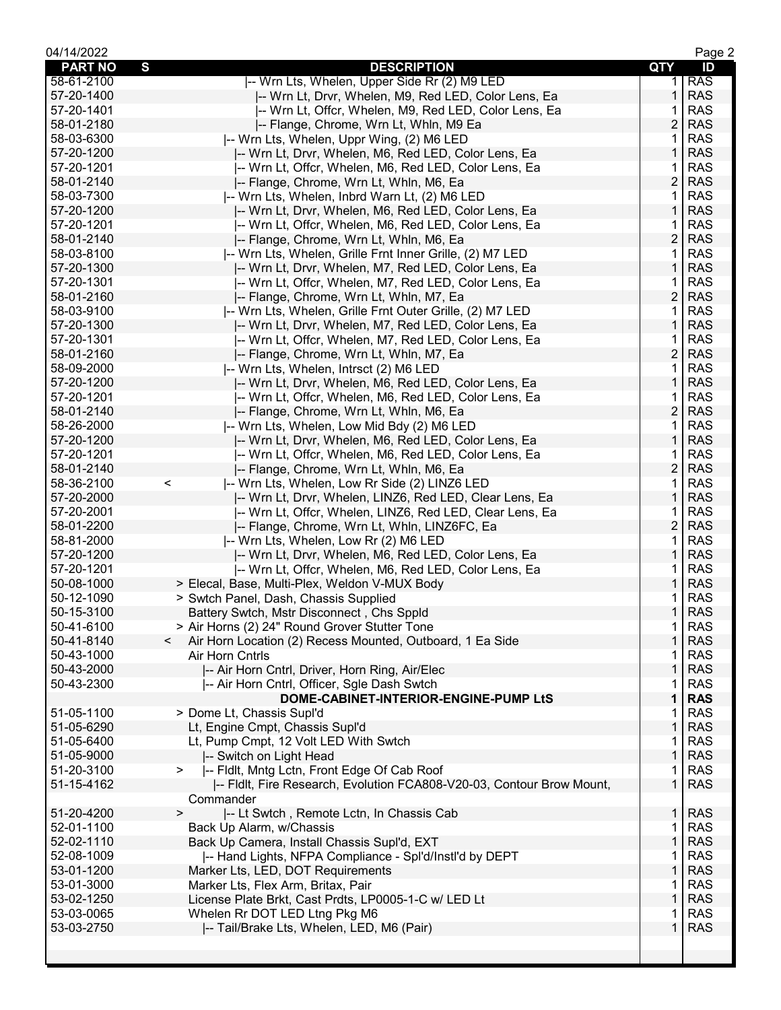| 04/14/2022     |                                                                       |                | Page 2     |
|----------------|-----------------------------------------------------------------------|----------------|------------|
| <b>PART NO</b> | S<br><b>DESCRIPTION</b>                                               | QTY            | ID         |
| 58-61-2100     | -- Wrn Lts, Whelen, Upper Side Rr (2) M9 LED                          | 1.             | <b>RAS</b> |
| 57-20-1400     | -- Wrn Lt, Drvr, Whelen, M9, Red LED, Color Lens, Ea                  | 1              | <b>RAS</b> |
| 57-20-1401     | -- Wrn Lt, Offcr, Whelen, M9, Red LED, Color Lens, Ea                 | 1              | <b>RAS</b> |
| 58-01-2180     | -- Flange, Chrome, Wrn Lt, Whln, M9 Ea                                | $\overline{c}$ | <b>RAS</b> |
| 58-03-6300     | -- Wrn Lts, Whelen, Uppr Wing, (2) M6 LED                             | 1              | <b>RAS</b> |
| 57-20-1200     | -- Wrn Lt, Drvr, Whelen, M6, Red LED, Color Lens, Ea                  | 1              | <b>RAS</b> |
| 57-20-1201     | -- Wrn Lt, Offcr, Whelen, M6, Red LED, Color Lens, Ea                 | 1              | <b>RAS</b> |
| 58-01-2140     | -- Flange, Chrome, Wrn Lt, Whln, M6, Ea                               | $\overline{2}$ | <b>RAS</b> |
| 58-03-7300     | -- Wrn Lts, Whelen, Inbrd Warn Lt, (2) M6 LED                         | 1              | <b>RAS</b> |
| 57-20-1200     | -- Wrn Lt, Drvr, Whelen, M6, Red LED, Color Lens, Ea                  | 1              | <b>RAS</b> |
| 57-20-1201     | -- Wrn Lt, Offcr, Whelen, M6, Red LED, Color Lens, Ea                 | 1              | <b>RAS</b> |
| 58-01-2140     | -- Flange, Chrome, Wrn Lt, Whln, M6, Ea                               | $\overline{c}$ | <b>RAS</b> |
|                |                                                                       |                |            |
| 58-03-8100     | -- Wrn Lts, Whelen, Grille Frnt Inner Grille, (2) M7 LED              | 1              | <b>RAS</b> |
| 57-20-1300     | -- Wrn Lt, Drvr, Whelen, M7, Red LED, Color Lens, Ea                  | $\mathbf{1}$   | <b>RAS</b> |
| 57-20-1301     | -- Wrn Lt, Offcr, Whelen, M7, Red LED, Color Lens, Ea                 | 1              | <b>RAS</b> |
| 58-01-2160     | -- Flange, Chrome, Wrn Lt, Whln, M7, Ea                               | $\overline{2}$ | <b>RAS</b> |
| 58-03-9100     | -- Wrn Lts, Whelen, Grille Frnt Outer Grille, (2) M7 LED              | 1              | <b>RAS</b> |
| 57-20-1300     | -- Wrn Lt, Drvr, Whelen, M7, Red LED, Color Lens, Ea                  | 1              | <b>RAS</b> |
| 57-20-1301     | -- Wrn Lt, Offcr, Whelen, M7, Red LED, Color Lens, Ea                 | 1              | <b>RAS</b> |
| 58-01-2160     | -- Flange, Chrome, Wrn Lt, Whln, M7, Ea                               | $\overline{c}$ | <b>RAS</b> |
| 58-09-2000     | -- Wrn Lts, Whelen, Intrsct (2) M6 LED                                | 1              | <b>RAS</b> |
| 57-20-1200     | -- Wrn Lt, Drvr, Whelen, M6, Red LED, Color Lens, Ea                  | $\mathbf{1}$   | <b>RAS</b> |
| 57-20-1201     | -- Wrn Lt, Offcr, Whelen, M6, Red LED, Color Lens, Ea                 | 1              | <b>RAS</b> |
| 58-01-2140     | -- Flange, Chrome, Wrn Lt, Whln, M6, Ea                               | $\overline{2}$ | <b>RAS</b> |
| 58-26-2000     | -- Wrn Lts, Whelen, Low Mid Bdy (2) M6 LED                            | 1              | <b>RAS</b> |
| 57-20-1200     | -- Wrn Lt, Drvr, Whelen, M6, Red LED, Color Lens, Ea                  | 1              | <b>RAS</b> |
| 57-20-1201     | -- Wrn Lt, Offcr, Whelen, M6, Red LED, Color Lens, Ea                 | 1              | <b>RAS</b> |
| 58-01-2140     | -- Flange, Chrome, Wrn Lt, Whln, M6, Ea                               | $\overline{c}$ | <b>RAS</b> |
| 58-36-2100     | -- Wrn Lts, Whelen, Low Rr Side (2) LINZ6 LED<br>$\,<\,$              | 1              | <b>RAS</b> |
| 57-20-2000     | -- Wrn Lt, Drvr, Whelen, LINZ6, Red LED, Clear Lens, Ea               | $\mathbf{1}$   | <b>RAS</b> |
| 57-20-2001     | -- Wrn Lt, Offcr, Whelen, LINZ6, Red LED, Clear Lens, Ea              | 1              | <b>RAS</b> |
| 58-01-2200     | -- Flange, Chrome, Wrn Lt, Whln, LINZ6FC, Ea                          | $\overline{2}$ | <b>RAS</b> |
| 58-81-2000     | -- Wrn Lts, Whelen, Low Rr (2) M6 LED                                 | 1              | <b>RAS</b> |
| 57-20-1200     | -- Wrn Lt, Drvr, Whelen, M6, Red LED, Color Lens, Ea                  | 1              | <b>RAS</b> |
| 57-20-1201     | I-- Wrn Lt, Offcr, Whelen, M6, Red LED, Color Lens, Ea                | 1              | <b>RAS</b> |
| 50-08-1000     | > Elecal, Base, Multi-Plex, Weldon V-MUX Body                         | 1              | <b>RAS</b> |
| 50-12-1090     | > Swtch Panel, Dash, Chassis Supplied                                 | 1              | <b>RAS</b> |
| 50-15-3100     | Battery Swtch, Mstr Disconnect, Chs Sppld                             | $\mathbf{1}$   | <b>RAS</b> |
| 50-41-6100     | > Air Horns (2) 24" Round Grover Stutter Tone                         | 1              | <b>RAS</b> |
| 50-41-8140     | Air Horn Location (2) Recess Mounted, Outboard, 1 Ea Side<br>$\lt$    | 1              | <b>RAS</b> |
| 50-43-1000     | <b>Air Horn Cntrls</b>                                                |                | <b>RAS</b> |
| 50-43-2000     |                                                                       | 1<br>1         | <b>RAS</b> |
|                | -- Air Horn Cntrl, Driver, Horn Ring, Air/Elec                        |                |            |
| 50-43-2300     | -- Air Horn Cntrl, Officer, Sgle Dash Swtch                           |                | <b>RAS</b> |
|                | DOME-CABINET-INTERIOR-ENGINE-PUMP LtS                                 | 1              | <b>RAS</b> |
| 51-05-1100     | > Dome Lt, Chassis Supl'd                                             | 1              | <b>RAS</b> |
| 51-05-6290     | Lt, Engine Cmpt, Chassis Supl'd                                       | 1              | <b>RAS</b> |
| 51-05-6400     | Lt, Pump Cmpt, 12 Volt LED With Swtch                                 | 1              | <b>RAS</b> |
| 51-05-9000     | -- Switch on Light Head                                               | $\mathbf 1$    | <b>RAS</b> |
| 51-20-3100     | -- Fldlt, Mntg Lctn, Front Edge Of Cab Roof<br>$\geq$                 | 1              | <b>RAS</b> |
| 51-15-4162     | -- Fldlt, Fire Research, Evolution FCA808-V20-03, Contour Brow Mount, | 1              | <b>RAS</b> |
|                | Commander                                                             |                |            |
| 51-20-4200     | $\,$<br>-- Lt Swtch, Remote Lctn, In Chassis Cab                      | $\mathbf{1}$   | <b>RAS</b> |
| 52-01-1100     | Back Up Alarm, w/Chassis                                              | 1              | <b>RAS</b> |
| 52-02-1110     | Back Up Camera, Install Chassis Supl'd, EXT                           | $\mathbf{1}$   | <b>RAS</b> |
| 52-08-1009     | -- Hand Lights, NFPA Compliance - Spl'd/Instl'd by DEPT               | 1              | <b>RAS</b> |
| 53-01-1200     | Marker Lts, LED, DOT Requirements                                     | $\mathbf{1}$   | <b>RAS</b> |
| 53-01-3000     | Marker Lts, Flex Arm, Britax, Pair                                    | 1              | <b>RAS</b> |
| 53-02-1250     | License Plate Brkt, Cast Prdts, LP0005-1-C w/ LED Lt                  | 1              | <b>RAS</b> |
| 53-03-0065     | Whelen Rr DOT LED Ltng Pkg M6                                         | 1              | <b>RAS</b> |
| 53-03-2750     | -- Tail/Brake Lts, Whelen, LED, M6 (Pair)                             | 1              | <b>RAS</b> |
|                |                                                                       |                |            |
|                |                                                                       |                |            |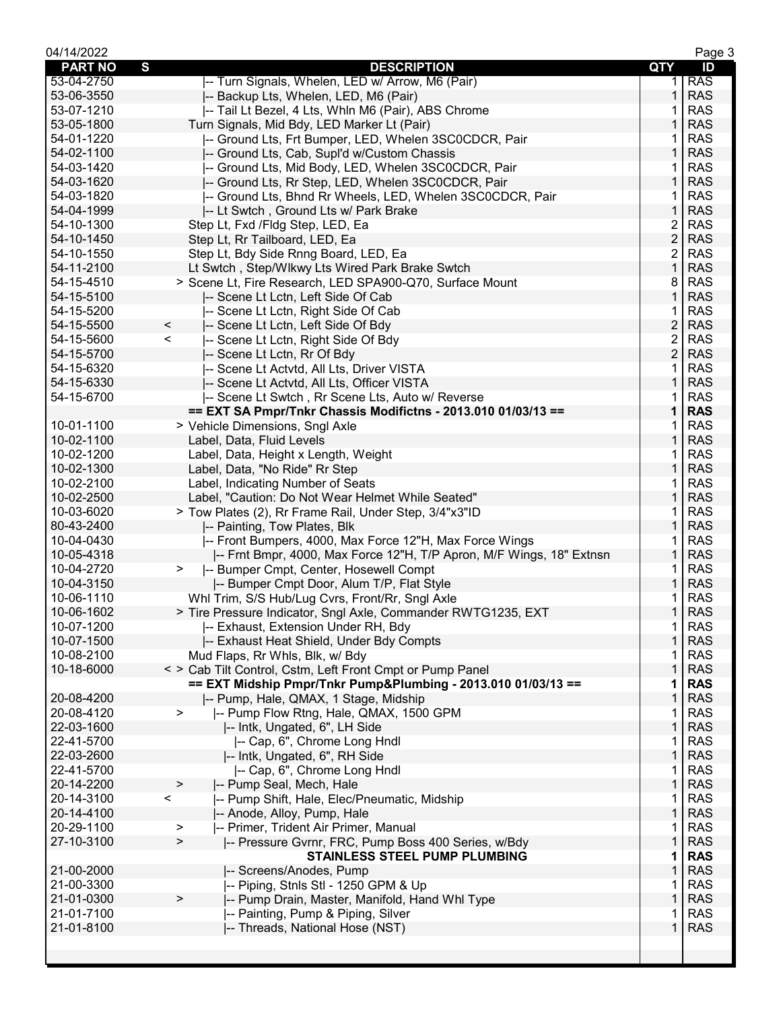| 04/14/2022     |                                                                      |                         | Page 3     |
|----------------|----------------------------------------------------------------------|-------------------------|------------|
| <b>PART NO</b> | $\mathbf{s}$<br><b>DESCRIPTION</b>                                   | QTY                     | ID         |
| 53-04-2750     | -- Turn Signals, Whelen, LED w/ Arrow, M6 (Pair)                     | 1.                      | <b>RAS</b> |
| 53-06-3550     | -- Backup Lts, Whelen, LED, M6 (Pair)                                | 1                       | <b>RAS</b> |
| 53-07-1210     | -- Tail Lt Bezel, 4 Lts, Whln M6 (Pair), ABS Chrome                  | 1                       | <b>RAS</b> |
| 53-05-1800     | Turn Signals, Mid Bdy, LED Marker Lt (Pair)                          | 1                       | <b>RAS</b> |
| 54-01-1220     | -- Ground Lts, Frt Bumper, LED, Whelen 3SC0CDCR, Pair                | 1                       | <b>RAS</b> |
| 54-02-1100     | -- Ground Lts, Cab, Supl'd w/Custom Chassis                          | 1                       | <b>RAS</b> |
| 54-03-1420     | -- Ground Lts, Mid Body, LED, Whelen 3SC0CDCR, Pair                  | 1                       | <b>RAS</b> |
| 54-03-1620     | -- Ground Lts, Rr Step, LED, Whelen 3SC0CDCR, Pair                   | 1                       | <b>RAS</b> |
| 54-03-1820     | -- Ground Lts, Bhnd Rr Wheels, LED, Whelen 3SC0CDCR, Pair            | 1                       | <b>RAS</b> |
| 54-04-1999     | -- Lt Swtch, Ground Lts w/ Park Brake                                | 1                       | <b>RAS</b> |
| 54-10-1300     | Step Lt, Fxd /Fldg Step, LED, Ea                                     | 2                       | <b>RAS</b> |
| 54-10-1450     | Step Lt, Rr Tailboard, LED, Ea                                       | $\overline{c}$          | <b>RAS</b> |
| 54-10-1550     | Step Lt, Bdy Side Rnng Board, LED, Ea                                | 2                       | <b>RAS</b> |
| 54-11-2100     | Lt Swtch, Step/Wlkwy Lts Wired Park Brake Swtch                      | 1                       | <b>RAS</b> |
| 54-15-4510     | > Scene Lt, Fire Research, LED SPA900-Q70, Surface Mount             | 8                       | <b>RAS</b> |
| 54-15-5100     | -- Scene Lt Lctn, Left Side Of Cab                                   | 1                       | <b>RAS</b> |
| 54-15-5200     | -- Scene Lt Lctn, Right Side Of Cab                                  | 1                       | <b>RAS</b> |
| 54-15-5500     | $\,<$<br>-- Scene Lt Lctn, Left Side Of Bdy                          | $\overline{\mathbf{c}}$ | <b>RAS</b> |
| 54-15-5600     | $\lt$<br>-- Scene Lt Lctn, Right Side Of Bdy                         | 2                       | <b>RAS</b> |
| 54-15-5700     | -- Scene Lt Lctn, Rr Of Bdy                                          | $\overline{c}$          | <b>RAS</b> |
| 54-15-6320     | -- Scene Lt Actvtd, All Lts, Driver VISTA                            | 1                       | <b>RAS</b> |
| 54-15-6330     | -- Scene Lt Actvtd, All Lts, Officer VISTA                           | 1                       | <b>RAS</b> |
| 54-15-6700     | -- Scene Lt Swtch, Rr Scene Lts, Auto w/ Reverse                     | 1                       | <b>RAS</b> |
|                | == EXT SA Pmpr/Tnkr Chassis Modifictns - 2013.010 01/03/13 ==        | $\mathbf 1$             | <b>RAS</b> |
| 10-01-1100     | > Vehicle Dimensions, Sngl Axle                                      | 1                       | <b>RAS</b> |
| 10-02-1100     | Label, Data, Fluid Levels                                            | 1                       | <b>RAS</b> |
| 10-02-1200     | Label, Data, Height x Length, Weight                                 | 1                       | <b>RAS</b> |
| 10-02-1300     | Label, Data, "No Ride" Rr Step                                       | 1                       | <b>RAS</b> |
| 10-02-2100     | Label, Indicating Number of Seats                                    | 1                       | <b>RAS</b> |
| 10-02-2500     | Label, "Caution: Do Not Wear Helmet While Seated"                    | 1                       | <b>RAS</b> |
| 10-03-6020     | > Tow Plates (2), Rr Frame Rail, Under Step, 3/4"x3"ID               | 1                       | <b>RAS</b> |
| 80-43-2400     | -- Painting, Tow Plates, Blk                                         | 1                       | <b>RAS</b> |
| 10-04-0430     | -- Front Bumpers, 4000, Max Force 12"H, Max Force Wings              | 1                       | <b>RAS</b> |
| 10-05-4318     | -- Frnt Bmpr, 4000, Max Force 12"H, T/P Apron, M/F Wings, 18" Extnsn | 1                       | <b>RAS</b> |
| 10-04-2720     | -- Bumper Cmpt, Center, Hosewell Compt<br>$\geq$                     | 1                       | <b>RAS</b> |
| 10-04-3150     | -- Bumper Cmpt Door, Alum T/P, Flat Style                            | 1                       | <b>RAS</b> |
| 10-06-1110     | Whl Trim, S/S Hub/Lug Cvrs, Front/Rr, Sngl Axle                      | 1                       | <b>RAS</b> |
| 10-06-1602     | > Tire Pressure Indicator, Sngl Axle, Commander RWTG1235, EXT        | $\mathbf{1}$            | <b>RAS</b> |
| 10-07-1200     | -- Exhaust, Extension Under RH, Bdy                                  | 1                       | <b>RAS</b> |
| 10-07-1500     | -- Exhaust Heat Shield, Under Bdy Compts                             | $\mathbf 1$             | <b>RAS</b> |
| 10-08-2100     | Mud Flaps, Rr Whls, Blk, w/ Bdy                                      | 1                       | <b>RAS</b> |
| 10-18-6000     | < > Cab Tilt Control, Cstm, Left Front Cmpt or Pump Panel            | 1                       | <b>RAS</b> |
|                | == EXT Midship Pmpr/Tnkr Pump&Plumbing - 2013.010 01/03/13 ==        | 1                       | <b>RAS</b> |
| 20-08-4200     | -- Pump, Hale, QMAX, 1 Stage, Midship                                | 1                       | <b>RAS</b> |
| 20-08-4120     | -- Pump Flow Rtng, Hale, QMAX, 1500 GPM<br>$\geq$                    | 1                       | <b>RAS</b> |
| 22-03-1600     | -- Intk, Ungated, 6", LH Side                                        | 1                       | <b>RAS</b> |
| 22-41-5700     | -- Cap, 6", Chrome Long Hndl                                         | 1                       | <b>RAS</b> |
| 22-03-2600     | -- Intk, Ungated, 6", RH Side                                        | 1                       | <b>RAS</b> |
| 22-41-5700     | -- Cap, 6", Chrome Long Hndl                                         | 1                       | <b>RAS</b> |
| 20-14-2200     | -- Pump Seal, Mech, Hale<br>>                                        | 1                       | <b>RAS</b> |
| 20-14-3100     | -- Pump Shift, Hale, Elec/Pneumatic, Midship<br>$\,<\,$              | 1                       | <b>RAS</b> |
| 20-14-4100     | -- Anode, Alloy, Pump, Hale                                          | 1                       | <b>RAS</b> |
| 20-29-1100     | -- Primer, Trident Air Primer, Manual<br>>                           | 1                       | <b>RAS</b> |
| 27-10-3100     | -- Pressure Gvrnr, FRC, Pump Boss 400 Series, w/Bdy<br>$\geq$        | 1                       | <b>RAS</b> |
|                | <b>STAINLESS STEEL PUMP PLUMBING</b>                                 | 1                       | <b>RAS</b> |
| 21-00-2000     | -- Screens/Anodes, Pump                                              | 1                       | <b>RAS</b> |
| 21-00-3300     | -- Piping, Stnls Stl - 1250 GPM & Up                                 | 1                       | <b>RAS</b> |
| 21-01-0300     | $\,$<br>-- Pump Drain, Master, Manifold, Hand Whl Type               | 1                       | <b>RAS</b> |
| 21-01-7100     | -- Painting, Pump & Piping, Silver                                   | 1                       | <b>RAS</b> |
| 21-01-8100     | -- Threads, National Hose (NST)                                      | 1                       | <b>RAS</b> |
|                |                                                                      |                         |            |
|                |                                                                      |                         |            |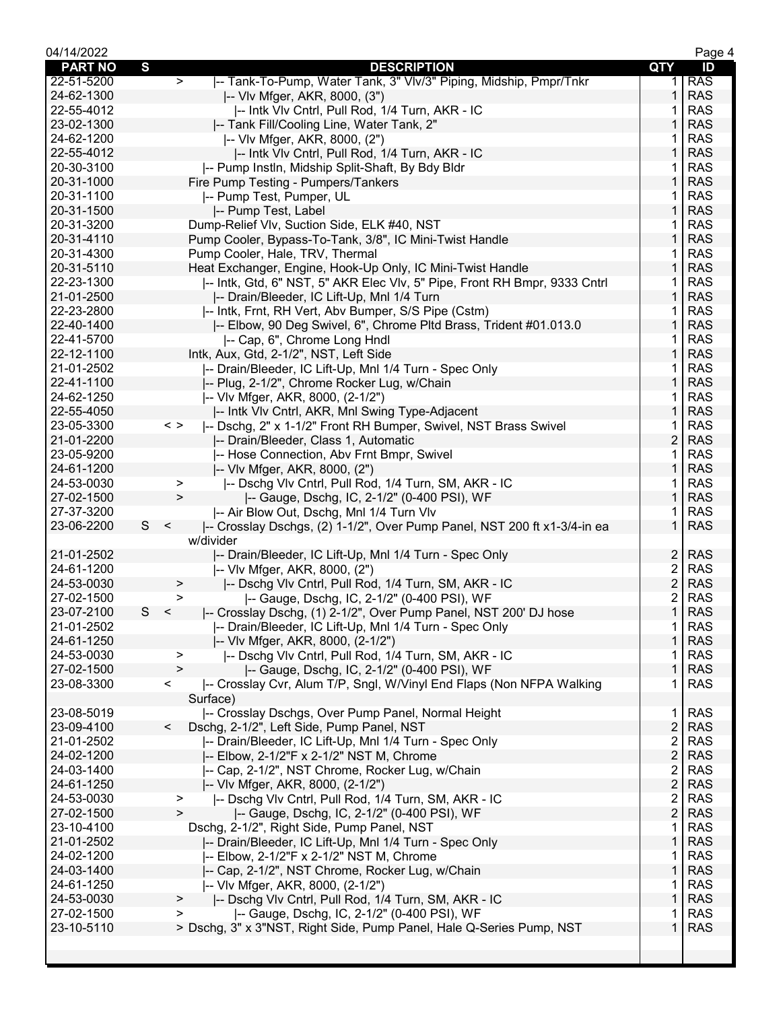| 04/14/2022     |   |                                                                                     |                         | Page 4     |
|----------------|---|-------------------------------------------------------------------------------------|-------------------------|------------|
| <b>PART NO</b> | S | <b>DESCRIPTION</b>                                                                  | <b>QTY</b>              | ID         |
| 22-51-5200     |   | -- Tank-To-Pump, Water Tank, 3" VIv/3" Piping, Midship, Pmpr/Tnkr<br>$\geq$         | 1.                      | <b>RAS</b> |
| 24-62-1300     |   | -- VIv Mfger, AKR, 8000, (3")                                                       | 1                       | <b>RAS</b> |
| 22-55-4012     |   | -- Intk VIv Cntrl, Pull Rod, 1/4 Turn, AKR - IC                                     | 1                       | <b>RAS</b> |
| 23-02-1300     |   | -- Tank Fill/Cooling Line, Water Tank, 2"                                           |                         | <b>RAS</b> |
| 24-62-1200     |   | -- VIv Mfger, AKR, 8000, (2")                                                       |                         | <b>RAS</b> |
| 22-55-4012     |   | -- Intk VIv Cntrl, Pull Rod, 1/4 Turn, AKR - IC                                     | $\mathbf{1}$            | <b>RAS</b> |
| 20-30-3100     |   | -- Pump Instln, Midship Split-Shaft, By Bdy Bldr                                    | 1                       | <b>RAS</b> |
| 20-31-1000     |   |                                                                                     | 1                       | <b>RAS</b> |
|                |   | Fire Pump Testing - Pumpers/Tankers                                                 |                         |            |
| 20-31-1100     |   | -- Pump Test, Pumper, UL                                                            |                         | <b>RAS</b> |
| 20-31-1500     |   | -- Pump Test, Label                                                                 |                         | <b>RAS</b> |
| 20-31-3200     |   | Dump-Relief Vlv, Suction Side, ELK #40, NST                                         | 1                       | <b>RAS</b> |
| 20-31-4110     |   | Pump Cooler, Bypass-To-Tank, 3/8", IC Mini-Twist Handle                             | 1                       | <b>RAS</b> |
| 20-31-4300     |   | Pump Cooler, Hale, TRV, Thermal                                                     | 1                       | <b>RAS</b> |
| 20-31-5110     |   | Heat Exchanger, Engine, Hook-Up Only, IC Mini-Twist Handle                          | $\mathbf{1}$            | <b>RAS</b> |
| 22-23-1300     |   | I-- Intk, Gtd, 6" NST, 5" AKR Elec VIv, 5" Pipe, Front RH Bmpr, 9333 Cntrl          | 1                       | <b>RAS</b> |
| 21-01-2500     |   | -- Drain/Bleeder, IC Lift-Up, Mnl 1/4 Turn                                          | 1                       | <b>RAS</b> |
| 22-23-2800     |   | -- Intk, Frnt, RH Vert, Abv Bumper, S/S Pipe (Cstm)                                 |                         | <b>RAS</b> |
| 22-40-1400     |   | -- Elbow, 90 Deg Swivel, 6", Chrome Pltd Brass, Trident #01.013.0                   | 1                       | <b>RAS</b> |
| 22-41-5700     |   | -- Cap, 6", Chrome Long Hndl                                                        | 1                       | <b>RAS</b> |
| 22-12-1100     |   | Intk, Aux, Gtd, 2-1/2", NST, Left Side                                              | 1                       | <b>RAS</b> |
| 21-01-2502     |   | -- Drain/Bleeder, IC Lift-Up, Mnl 1/4 Turn - Spec Only                              | 1                       | <b>RAS</b> |
| 22-41-1100     |   | -- Plug, 2-1/2", Chrome Rocker Lug, w/Chain                                         | $\mathbf{1}$            | <b>RAS</b> |
| 24-62-1250     |   | -- VIv Mfger, AKR, 8000, (2-1/2")                                                   | 1                       | <b>RAS</b> |
| 22-55-4050     |   | -- Intk VIv Cntrl, AKR, Mnl Swing Type-Adjacent                                     | 1                       | <b>RAS</b> |
| 23-05-3300     |   | $\langle$ ><br> -- Dschg, 2" x 1-1/2" Front RH Bumper, Swivel, NST Brass Swivel     | 1                       | <b>RAS</b> |
| 21-01-2200     |   |                                                                                     | $\overline{c}$          | <b>RAS</b> |
|                |   | -- Drain/Bleeder, Class 1, Automatic                                                | 1                       | <b>RAS</b> |
| 23-05-9200     |   | -- Hose Connection, Abv Frnt Bmpr, Swivel                                           |                         |            |
| 24-61-1200     |   | -- VIv Mfger, AKR, 8000, (2")                                                       | 1                       | <b>RAS</b> |
| 24-53-0030     |   | -- Dschg VIv Cntrl, Pull Rod, 1/4 Turn, SM, AKR - IC<br>$\,>$                       | 1                       | <b>RAS</b> |
| 27-02-1500     |   | $\geq$<br> -- Gauge, Dschg, IC, 2-1/2" (0-400 PSI), WF                              | $\mathbf{1}$            | <b>RAS</b> |
| 27-37-3200     |   | -- Air Blow Out, Dschg, Mnl 1/4 Turn Vlv                                            | 1                       | <b>RAS</b> |
| 23-06-2200     | S | -- Crosslay Dschgs, (2) 1-1/2", Over Pump Panel, NST 200 ft x1-3/4-in ea<br>$\prec$ | 1                       | <b>RAS</b> |
|                |   | w/divider                                                                           |                         |            |
| 21-01-2502     |   | -- Drain/Bleeder, IC Lift-Up, Mnl 1/4 Turn - Spec Only                              | 2                       | <b>RAS</b> |
| 24-61-1200     |   | -- VIv Mfger, AKR, 8000, (2")                                                       | 2                       | <b>RAS</b> |
| 24-53-0030     |   | -- Dschg VIv Cntrl, Pull Rod, 1/4 Turn, SM, AKR - IC<br>⋗                           | $\overline{2}$          | <b>RAS</b> |
| 27-02-1500     |   | -- Gauge, Dschg, IC, 2-1/2" (0-400 PSI), WF<br>>                                    | $\overline{\mathbf{c}}$ | <b>RAS</b> |
| 23-07-2100     | S | -- Crosslay Dschg, (1) 2-1/2", Over Pump Panel, NST 200' DJ hose<br>$\,<\,$         | 1                       | <b>RAS</b> |
| 21-01-2502     |   | -- Drain/Bleeder, IC Lift-Up, Mnl 1/4 Turn - Spec Only                              | 1.                      | <b>RAS</b> |
| 24-61-1250     |   | -- VIv Mfger, AKR, 8000, (2-1/2")                                                   | 1                       | <b>RAS</b> |
| 24-53-0030     |   | -- Dschg VIv Cntrl, Pull Rod, 1/4 Turn, SM, AKR - IC<br>>                           | 1                       | <b>RAS</b> |
| 27-02-1500     |   | $\geq$<br>-- Gauge, Dschg, IC, 2-1/2" (0-400 PSI), WF                               | 1                       | <b>RAS</b> |
| 23-08-3300     |   | -- Crosslay Cvr, Alum T/P, Sngl, W/Vinyl End Flaps (Non NFPA Walking<br>$\lt$       | 1                       | <b>RAS</b> |
|                |   | Surface)                                                                            |                         |            |
| 23-08-5019     |   | -- Crosslay Dschgs, Over Pump Panel, Normal Height                                  | 1                       | <b>RAS</b> |
| 23-09-4100     |   | Dschg, 2-1/2", Left Side, Pump Panel, NST<br>$\,<\,$                                | $\overline{2}$          | <b>RAS</b> |
| 21-01-2502     |   | -- Drain/Bleeder, IC Lift-Up, Mnl 1/4 Turn - Spec Only                              | 2                       | <b>RAS</b> |
| 24-02-1200     |   | -- Elbow, 2-1/2"F x 2-1/2" NST M, Chrome                                            | $\overline{c}$          | <b>RAS</b> |
| 24-03-1400     |   | -- Cap, 2-1/2", NST Chrome, Rocker Lug, w/Chain                                     |                         | <b>RAS</b> |
|                |   |                                                                                     | 2                       |            |
| 24-61-1250     |   | -- VIv Mfger, AKR, 8000, (2-1/2")                                                   | $\overline{\mathbf{c}}$ | <b>RAS</b> |
| 24-53-0030     |   | -- Dschg VIv Cntrl, Pull Rod, 1/4 Turn, SM, AKR - IC<br>>                           | 2                       | <b>RAS</b> |
| 27-02-1500     |   | -- Gauge, Dschg, IC, 2-1/2" (0-400 PSI), WF<br>>                                    | $\overline{2}$          | <b>RAS</b> |
| 23-10-4100     |   | Dschg, 2-1/2", Right Side, Pump Panel, NST                                          | 1                       | <b>RAS</b> |
| 21-01-2502     |   | -- Drain/Bleeder, IC Lift-Up, Mnl 1/4 Turn - Spec Only                              | $\mathbf{1}$            | <b>RAS</b> |
| 24-02-1200     |   | -- Elbow, 2-1/2"F x 2-1/2" NST M, Chrome                                            | 1                       | <b>RAS</b> |
| 24-03-1400     |   | -- Cap, 2-1/2", NST Chrome, Rocker Lug, w/Chain                                     | 1                       | <b>RAS</b> |
| 24-61-1250     |   | -- VIv Mfger, AKR, 8000, (2-1/2")                                                   | 1                       | <b>RAS</b> |
| 24-53-0030     |   | -- Dschg VIv Cntrl, Pull Rod, 1/4 Turn, SM, AKR - IC<br>>                           | 1                       | <b>RAS</b> |
| 27-02-1500     |   | -- Gauge, Dschg, IC, 2-1/2" (0-400 PSI), WF<br>>                                    | 1                       | <b>RAS</b> |
| 23-10-5110     |   | > Dschg, 3" x 3"NST, Right Side, Pump Panel, Hale Q-Series Pump, NST                | 1                       | <b>RAS</b> |
|                |   |                                                                                     |                         |            |
|                |   |                                                                                     |                         |            |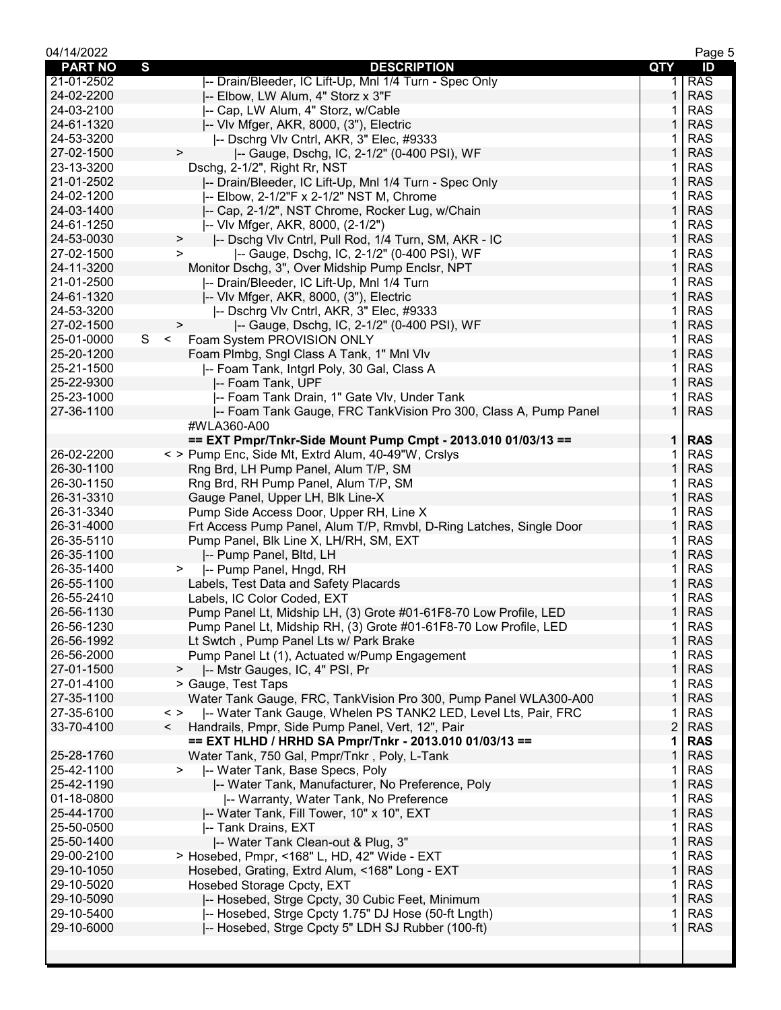| 04/14/2022     |                                                                                 |                | Page 5     |
|----------------|---------------------------------------------------------------------------------|----------------|------------|
| <b>PART NO</b> | $\mathbf{s}$<br><b>DESCRIPTION</b>                                              | QTY            | ID         |
| 21-01-2502     | -- Drain/Bleeder, IC Lift-Up, Mnl 1/4 Turn - Spec Only                          | 1.             | <b>RAS</b> |
| 24-02-2200     | -- Elbow, LW Alum, 4" Storz x 3"F                                               | 1              | <b>RAS</b> |
| 24-03-2100     | -- Cap, LW Alum, 4" Storz, w/Cable                                              |                | <b>RAS</b> |
| 24-61-1320     | -- VIv Mfger, AKR, 8000, (3"), Electric                                         | 1              | <b>RAS</b> |
| 24-53-3200     | -- Dschrg VIv Cntrl, AKR, 3" Elec, #9333                                        | 1              | <b>RAS</b> |
| 27-02-1500     | -- Gauge, Dschg, IC, 2-1/2" (0-400 PSI), WF<br>$\, >$                           | 1              | <b>RAS</b> |
| 23-13-3200     | Dschg, 2-1/2", Right Rr, NST                                                    | 1              | <b>RAS</b> |
| 21-01-2502     | -- Drain/Bleeder, IC Lift-Up, Mnl 1/4 Turn - Spec Only                          | 1              | <b>RAS</b> |
|                |                                                                                 |                | <b>RAS</b> |
| 24-02-1200     | -- Elbow, 2-1/2"F x 2-1/2" NST M, Chrome                                        | 1              |            |
| 24-03-1400     | -- Cap, 2-1/2", NST Chrome, Rocker Lug, w/Chain                                 | 1              | <b>RAS</b> |
| 24-61-1250     | -- VIv Mfger, AKR, 8000, (2-1/2")                                               | 1              | <b>RAS</b> |
| 24-53-0030     | -- Dschg VIv Cntrl, Pull Rod, 1/4 Turn, SM, AKR - IC<br>$\, >$                  | 1              | <b>RAS</b> |
| 27-02-1500     | -- Gauge, Dschg, IC, 2-1/2" (0-400 PSI), WF<br>$\, > \,$                        | 1              | <b>RAS</b> |
| 24-11-3200     | Monitor Dschg, 3", Over Midship Pump Enclsr, NPT                                | 1              | <b>RAS</b> |
| 21-01-2500     | -- Drain/Bleeder, IC Lift-Up, Mnl 1/4 Turn                                      | 1              | <b>RAS</b> |
| 24-61-1320     | -- VIv Mfger, AKR, 8000, (3"), Electric                                         | 1              | <b>RAS</b> |
| 24-53-3200     | -- Dschrg VIv Cntrl, AKR, 3" Elec, #9333                                        | 1              | <b>RAS</b> |
| 27-02-1500     | -- Gauge, Dschg, IC, 2-1/2" (0-400 PSI), WF<br>>                                | 1              | <b>RAS</b> |
| 25-01-0000     | S<br>$\leq$<br>Foam System PROVISION ONLY                                       | 1              | <b>RAS</b> |
| 25-20-1200     | Foam Plmbg, Sngl Class A Tank, 1" Mnl Vlv                                       | 1              | <b>RAS</b> |
| 25-21-1500     | -- Foam Tank, Intgrl Poly, 30 Gal, Class A                                      | 1              | <b>RAS</b> |
| 25-22-9300     | -- Foam Tank, UPF                                                               | 1              | <b>RAS</b> |
| 25-23-1000     | -- Foam Tank Drain, 1" Gate VIv, Under Tank                                     | 1              | <b>RAS</b> |
| 27-36-1100     |                                                                                 | $\mathbf{1}$   | <b>RAS</b> |
|                | -- Foam Tank Gauge, FRC TankVision Pro 300, Class A, Pump Panel                 |                |            |
|                | #WLA360-A00                                                                     |                |            |
|                | == EXT Pmpr/Tnkr-Side Mount Pump Cmpt - 2013.010 01/03/13 ==                    | $\mathbf 1$    | <b>RAS</b> |
| 26-02-2200     | < > Pump Enc, Side Mt, Extrd Alum, 40-49"W, Crslys                              | 1              | <b>RAS</b> |
| 26-30-1100     | Rng Brd, LH Pump Panel, Alum T/P, SM                                            | 1              | <b>RAS</b> |
| 26-30-1150     | Rng Brd, RH Pump Panel, Alum T/P, SM                                            | 1              | <b>RAS</b> |
| 26-31-3310     | Gauge Panel, Upper LH, Blk Line-X                                               | 1              | <b>RAS</b> |
| 26-31-3340     | Pump Side Access Door, Upper RH, Line X                                         | 1              | <b>RAS</b> |
| 26-31-4000     | Frt Access Pump Panel, Alum T/P, Rmvbl, D-Ring Latches, Single Door             | 1              | <b>RAS</b> |
| 26-35-5110     | Pump Panel, Blk Line X, LH/RH, SM, EXT                                          | 1              | <b>RAS</b> |
| 26-35-1100     | -- Pump Panel, Bltd, LH                                                         | 1              | <b>RAS</b> |
| 26-35-1400     | -- Pump Panel, Hngd, RH<br>$\geq$                                               | 1              | <b>RAS</b> |
| 26-55-1100     | Labels, Test Data and Safety Placards                                           | 1              | <b>RAS</b> |
| 26-55-2410     | Labels, IC Color Coded, EXT                                                     | 1              | <b>RAS</b> |
| 26-56-1130     | Pump Panel Lt, Midship LH, (3) Grote #01-61F8-70 Low Profile, LED               | $\mathbf{1}$   | <b>RAS</b> |
| 26-56-1230     | Pump Panel Lt, Midship RH, (3) Grote #01-61F8-70 Low Profile, LED               | 1              | <b>RAS</b> |
| 26-56-1992     | Lt Swtch, Pump Panel Lts w/ Park Brake                                          | 1              | <b>RAS</b> |
| 26-56-2000     | Pump Panel Lt (1), Actuated w/Pump Engagement                                   | 1              | <b>RAS</b> |
| 27-01-1500     | -- Mstr Gauges, IC, 4" PSI, Pr<br>>                                             | 1              | <b>RAS</b> |
| 27-01-4100     |                                                                                 | 1              |            |
|                | > Gauge, Test Taps                                                              |                | <b>RAS</b> |
| 27-35-1100     | Water Tank Gauge, FRC, TankVision Pro 300, Pump Panel WLA300-A00                | 1              | <b>RAS</b> |
| 27-35-6100     | -- Water Tank Gauge, Whelen PS TANK2 LED, Level Lts, Pair, FRC<br>$\langle$ $>$ | 1              | <b>RAS</b> |
| 33-70-4100     | Handrails, Pmpr, Side Pump Panel, Vert, 12", Pair<br>$\lt$                      | $\overline{2}$ | <b>RAS</b> |
|                | == EXT HLHD / HRHD SA Pmpr/Tnkr - 2013.010 01/03/13 ==                          | 1              | <b>RAS</b> |
| 25-28-1760     | Water Tank, 750 Gal, Pmpr/Tnkr, Poly, L-Tank                                    | 1              | <b>RAS</b> |
| 25-42-1100     | -- Water Tank, Base Specs, Poly<br>$\, > \,$                                    | 1              | <b>RAS</b> |
| 25-42-1190     | -- Water Tank, Manufacturer, No Preference, Poly                                | 1              | <b>RAS</b> |
| 01-18-0800     | -- Warranty, Water Tank, No Preference                                          | 1              | <b>RAS</b> |
| 25-44-1700     | -- Water Tank, Fill Tower, 10" x 10", EXT                                       | 1              | <b>RAS</b> |
| 25-50-0500     | -- Tank Drains, EXT                                                             | 1              | <b>RAS</b> |
| 25-50-1400     | -- Water Tank Clean-out & Plug, 3"                                              | 1              | <b>RAS</b> |
| 29-00-2100     | > Hosebed, Pmpr, <168" L, HD, 42" Wide - EXT                                    | 1              | <b>RAS</b> |
| 29-10-1050     | Hosebed, Grating, Extrd Alum, <168" Long - EXT                                  | 1              | <b>RAS</b> |
| 29-10-5020     | Hosebed Storage Cpcty, EXT                                                      | 1              | <b>RAS</b> |
| 29-10-5090     | -- Hosebed, Strge Cpcty, 30 Cubic Feet, Minimum                                 | 1              | <b>RAS</b> |
| 29-10-5400     |                                                                                 | 1              | <b>RAS</b> |
|                | -- Hosebed, Strge Cpcty 1.75" DJ Hose (50-ft Lngth)                             | 1              |            |
| 29-10-6000     | -- Hosebed, Strge Cpcty 5" LDH SJ Rubber (100-ft)                               |                | <b>RAS</b> |
|                |                                                                                 |                |            |
|                |                                                                                 |                |            |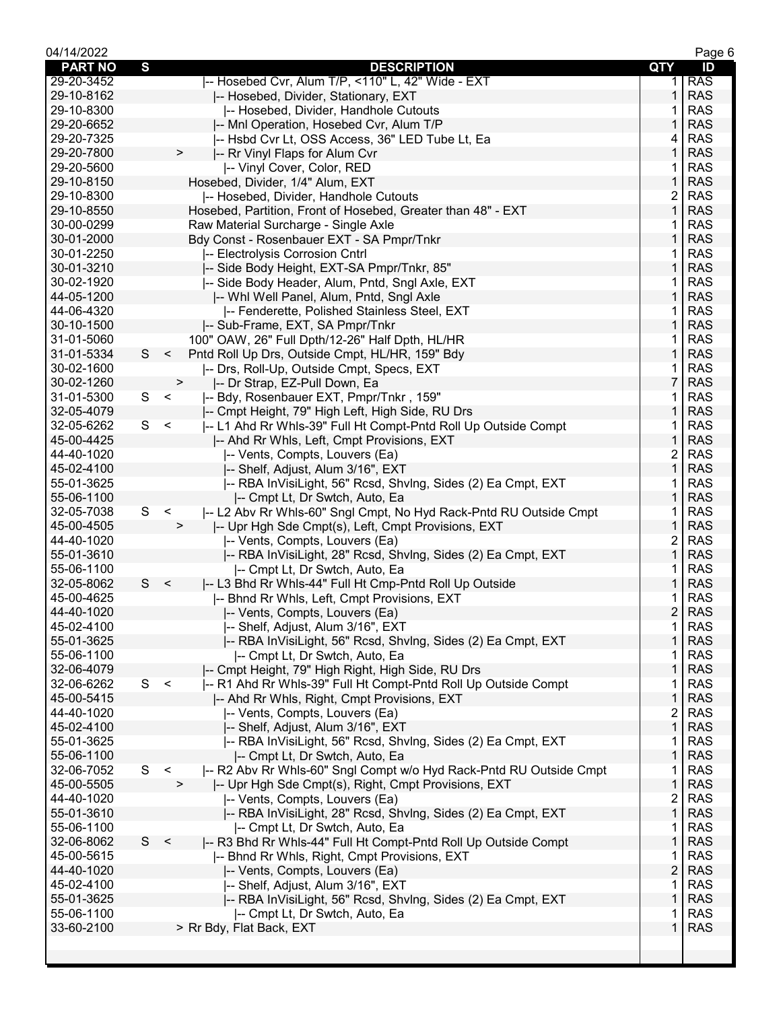| 04/14/2022     |     |                                                                                |                | Page 6     |
|----------------|-----|--------------------------------------------------------------------------------|----------------|------------|
| <b>PART NO</b> | S   | <b>DESCRIPTION</b>                                                             | QTY            | ID         |
| 29-20-3452     |     | -- Hosebed Cvr, Alum T/P, <110" L, 42" Wide - EXT                              | 1.             | <b>RAS</b> |
| 29-10-8162     |     | -- Hosebed, Divider, Stationary, EXT                                           | 1              | <b>RAS</b> |
| 29-10-8300     |     | -- Hosebed, Divider, Handhole Cutouts                                          | 1              | <b>RAS</b> |
| 29-20-6652     |     | -- Mnl Operation, Hosebed Cvr, Alum T/P                                        | 1              | <b>RAS</b> |
| 29-20-7325     |     | -- Hsbd Cvr Lt, OSS Access, 36" LED Tube Lt, Ea                                | 4              | <b>RAS</b> |
| 29-20-7800     |     | $\, > \,$<br>-- Rr Vinyl Flaps for Alum Cvr                                    | 1              | <b>RAS</b> |
| 29-20-5600     |     |                                                                                | 1              | <b>RAS</b> |
|                |     | -- Vinyl Cover, Color, RED                                                     |                |            |
| 29-10-8150     |     | Hosebed, Divider, 1/4" Alum, EXT                                               | 1              | <b>RAS</b> |
| 29-10-8300     |     | -- Hosebed, Divider, Handhole Cutouts                                          | 2              | <b>RAS</b> |
| 29-10-8550     |     | Hosebed, Partition, Front of Hosebed, Greater than 48" - EXT                   | 1              | <b>RAS</b> |
| 30-00-0299     |     | Raw Material Surcharge - Single Axle                                           | 1              | <b>RAS</b> |
| 30-01-2000     |     | Bdy Const - Rosenbauer EXT - SA Pmpr/Tnkr                                      | 1              | <b>RAS</b> |
| 30-01-2250     |     | -- Electrolysis Corrosion Cntrl                                                | 1              | <b>RAS</b> |
| 30-01-3210     |     | -- Side Body Height, EXT-SA Pmpr/Tnkr, 85"                                     | $\mathbf{1}$   | <b>RAS</b> |
| 30-02-1920     |     | -- Side Body Header, Alum, Pntd, Sngl Axle, EXT                                | 1              | <b>RAS</b> |
| 44-05-1200     |     | -- Whi Well Panel, Alum, Pntd, Sngl Axle                                       | 1              | <b>RAS</b> |
| 44-06-4320     |     | -- Fenderette, Polished Stainless Steel, EXT                                   | 1              | <b>RAS</b> |
| 30-10-1500     |     | -- Sub-Frame, EXT, SA Pmpr/Tnkr                                                | 1              | <b>RAS</b> |
| 31-01-5060     |     | 100" OAW, 26" Full Dpth/12-26" Half Dpth, HL/HR                                | 1              | <b>RAS</b> |
| 31-01-5334     | S   | $\,<$<br>Pntd Roll Up Drs, Outside Cmpt, HL/HR, 159" Bdy                       | 1              | <b>RAS</b> |
|                |     |                                                                                |                | <b>RAS</b> |
| 30-02-1600     |     | -- Drs, Roll-Up, Outside Cmpt, Specs, EXT                                      | 1              |            |
| 30-02-1260     |     | -- Dr Strap, EZ-Pull Down, Ea<br>$\,$                                          | $\overline{7}$ | <b>RAS</b> |
| 31-01-5300     | S   | $\prec$<br>-- Bdy, Rosenbauer EXT, Pmpr/Tnkr, 159"                             | 1              | <b>RAS</b> |
| 32-05-4079     |     | -- Cmpt Height, 79" High Left, High Side, RU Drs                               | 1              | <b>RAS</b> |
| 32-05-6262     | S.  | $\,<$<br>-- L1 Ahd Rr Whls-39" Full Ht Compt-Pntd Roll Up Outside Compt        | 1              | <b>RAS</b> |
| 45-00-4425     |     | -- Ahd Rr Whls, Left, Cmpt Provisions, EXT                                     | 1              | <b>RAS</b> |
| 44-40-1020     |     | -- Vents, Compts, Louvers (Ea)                                                 | $\overline{c}$ | <b>RAS</b> |
| 45-02-4100     |     | -- Shelf, Adjust, Alum 3/16", EXT                                              | $\mathbf{1}$   | <b>RAS</b> |
| 55-01-3625     |     | -- RBA InVisiLight, 56" Rcsd, ShvIng, Sides (2) Ea Cmpt, EXT                   | 1              | <b>RAS</b> |
| 55-06-1100     |     | -- Cmpt Lt, Dr Swtch, Auto, Ea                                                 | $\mathbf{1}$   | <b>RAS</b> |
| 32-05-7038     | S   | -- L2 Abv Rr Whls-60" Sngl Cmpt, No Hyd Rack-Pntd RU Outside Cmpt<br>$\,<$     | 1              | <b>RAS</b> |
| 45-00-4505     |     | $\,>$<br>-- Upr Hgh Sde Cmpt(s), Left, Cmpt Provisions, EXT                    | 1              | <b>RAS</b> |
| 44-40-1020     |     | -- Vents, Compts, Louvers (Ea)                                                 | 2              | <b>RAS</b> |
| 55-01-3610     |     | -- RBA InVisiLight, 28" Rcsd, ShvIng, Sides (2) Ea Cmpt, EXT                   | 1              | <b>RAS</b> |
| 55-06-1100     |     |                                                                                | 1              | <b>RAS</b> |
| 32-05-8062     | S   | -- Cmpt Lt, Dr Swtch, Auto, Ea<br>$\,<$                                        | 1              | <b>RAS</b> |
|                |     | -- L3 Bhd Rr Whls-44" Full Ht Cmp-Pntd Roll Up Outside                         |                |            |
| 45-00-4625     |     | -- Bhnd Rr Whls, Left, Cmpt Provisions, EXT                                    | 1              | <b>RAS</b> |
| 44-40-1020     |     | -- Vents, Compts, Louvers (Ea)                                                 | $\overline{2}$ | <b>RAS</b> |
| 45-02-4100     |     | -- Shelf, Adjust, Alum 3/16", EXT                                              | 1              | <b>RAS</b> |
| 55-01-3625     |     | -- RBA InVisiLight, 56" Rcsd, ShvIng, Sides (2) Ea Cmpt, EXT                   | 1              | <b>RAS</b> |
| 55-06-1100     |     | I-- Cmpt Lt, Dr Swtch, Auto, Ea                                                | 1              | <b>RAS</b> |
| 32-06-4079     |     | -- Cmpt Height, 79" High Right, High Side, RU Drs                              | 1              | <b>RAS</b> |
| 32-06-6262     | S < | -- R1 Ahd Rr Whls-39" Full Ht Compt-Pntd Roll Up Outside Compt                 | 1              | <b>RAS</b> |
| 45-00-5415     |     | -- Ahd Rr Whls, Right, Cmpt Provisions, EXT                                    | 1              | <b>RAS</b> |
| 44-40-1020     |     | -- Vents, Compts, Louvers (Ea)                                                 | 2              | <b>RAS</b> |
| 45-02-4100     |     | -- Shelf, Adjust, Alum 3/16", EXT                                              | $\mathbf{1}$   | <b>RAS</b> |
| 55-01-3625     |     | -- RBA InVisiLight, 56" Rcsd, ShvIng, Sides (2) Ea Cmpt, EXT                   | 1              | <b>RAS</b> |
| 55-06-1100     |     | -- Cmpt Lt, Dr Swtch, Auto, Ea                                                 | 1              | <b>RAS</b> |
| 32-06-7052     | S   | I-- R2 Abv Rr Whls-60" Sngl Compt w/o Hyd Rack-Pntd RU Outside Cmpt<br>$\prec$ | 1              | <b>RAS</b> |
| 45-00-5505     |     | I-- Upr Hgh Sde Cmpt(s), Right, Cmpt Provisions, EXT<br>$\,>\,$                | 1              | <b>RAS</b> |
| 44-40-1020     |     |                                                                                | $\overline{c}$ | <b>RAS</b> |
|                |     | -- Vents, Compts, Louvers (Ea)                                                 |                |            |
| 55-01-3610     |     | -- RBA InVisiLight, 28" Rcsd, ShvIng, Sides (2) Ea Cmpt, EXT                   | $\mathbf{1}$   | <b>RAS</b> |
| 55-06-1100     |     | I-- Cmpt Lt, Dr Swtch, Auto, Ea                                                | 1              | <b>RAS</b> |
| 32-06-8062     | S   | $\,<$<br> -- R3 Bhd Rr Whls-44" Full Ht Compt-Pntd Roll Up Outside Compt       | $\mathbf{1}$   | <b>RAS</b> |
| 45-00-5615     |     | -- Bhnd Rr Whls, Right, Cmpt Provisions, EXT                                   | 1              | <b>RAS</b> |
| 44-40-1020     |     | -- Vents, Compts, Louvers (Ea)                                                 | $\overline{c}$ | <b>RAS</b> |
| 45-02-4100     |     | -- Shelf, Adjust, Alum 3/16", EXT                                              | 1              | <b>RAS</b> |
| 55-01-3625     |     | -- RBA InVisiLight, 56" Rcsd, ShvIng, Sides (2) Ea Cmpt, EXT                   | 1              | <b>RAS</b> |
| 55-06-1100     |     | -- Cmpt Lt, Dr Swtch, Auto, Ea                                                 | 1              | <b>RAS</b> |
| 33-60-2100     |     | > Rr Bdy, Flat Back, EXT                                                       | 1              | <b>RAS</b> |
|                |     |                                                                                |                |            |
|                |     |                                                                                |                |            |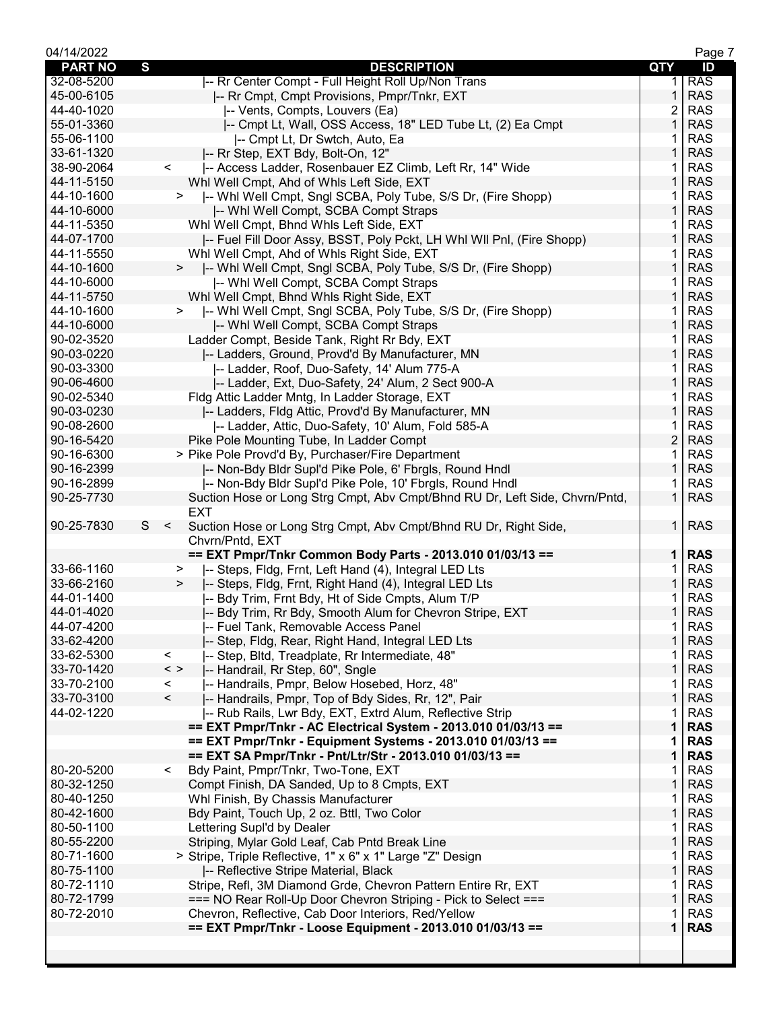| 04/14/2022     |   |                          |                                                                             |                | Page 7     |
|----------------|---|--------------------------|-----------------------------------------------------------------------------|----------------|------------|
| <b>PART NO</b> | S |                          | <b>DESCRIPTION</b>                                                          | QTY            | ID         |
| 32-08-5200     |   |                          | -- Rr Center Compt - Full Height Roll Up/Non Trans                          | 1.             | <b>RAS</b> |
| 45-00-6105     |   |                          | -- Rr Cmpt, Cmpt Provisions, Pmpr/Tnkr, EXT                                 | 1              | <b>RAS</b> |
| 44-40-1020     |   |                          | -- Vents, Compts, Louvers (Ea)                                              | 2              | <b>RAS</b> |
| 55-01-3360     |   |                          | -- Cmpt Lt, Wall, OSS Access, 18" LED Tube Lt, (2) Ea Cmpt                  | 1              | <b>RAS</b> |
| 55-06-1100     |   |                          | I-- Cmpt Lt, Dr Swtch, Auto, Ea                                             |                | <b>RAS</b> |
|                |   |                          |                                                                             | 1              | <b>RAS</b> |
| 33-61-1320     |   |                          | -- Rr Step, EXT Bdy, Bolt-On, 12"                                           |                |            |
| 38-90-2064     |   | $\,<\,$                  | -- Access Ladder, Rosenbauer EZ Climb, Left Rr, 14" Wide                    | 1              | <b>RAS</b> |
| 44-11-5150     |   |                          | Whl Well Cmpt, Ahd of Whls Left Side, EXT                                   | 1              | <b>RAS</b> |
| 44-10-1600     |   | $\geq$                   | -- Whl Well Cmpt, Sngl SCBA, Poly Tube, S/S Dr, (Fire Shopp)                | 1              | <b>RAS</b> |
| 44-10-6000     |   |                          | -- Whi Well Compt, SCBA Compt Straps                                        | 1              | <b>RAS</b> |
| 44-11-5350     |   |                          | Whl Well Cmpt, Bhnd Whls Left Side, EXT                                     |                | <b>RAS</b> |
| 44-07-1700     |   |                          | -- Fuel Fill Door Assy, BSST, Poly Pckt, LH Whl WII Pnl, (Fire Shopp)       | 1              | <b>RAS</b> |
| 44-11-5550     |   |                          | Whl Well Cmpt, Ahd of Whls Right Side, EXT                                  | 1              | <b>RAS</b> |
| 44-10-1600     |   | $\geq$                   | -- Whl Well Cmpt, Sngl SCBA, Poly Tube, S/S Dr, (Fire Shopp)                | 1              | <b>RAS</b> |
| 44-10-6000     |   |                          | I-- Whi Well Compt, SCBA Compt Straps                                       | 1              | <b>RAS</b> |
| 44-11-5750     |   |                          | Whl Well Cmpt, Bhnd Whls Right Side, EXT                                    | 1              | <b>RAS</b> |
| 44-10-1600     |   | $\geq$                   | -- Whi Well Cmpt, Sngl SCBA, Poly Tube, S/S Dr, (Fire Shopp)                | 1              | <b>RAS</b> |
| 44-10-6000     |   |                          | -- Whi Well Compt, SCBA Compt Straps                                        | 1              | <b>RAS</b> |
| 90-02-3520     |   |                          |                                                                             | 1              | <b>RAS</b> |
|                |   |                          | Ladder Compt, Beside Tank, Right Rr Bdy, EXT                                |                |            |
| 90-03-0220     |   |                          | -- Ladders, Ground, Provd'd By Manufacturer, MN                             | 1              | <b>RAS</b> |
| 90-03-3300     |   |                          | -- Ladder, Roof, Duo-Safety, 14' Alum 775-A                                 | 1              | <b>RAS</b> |
| 90-06-4600     |   |                          | -- Ladder, Ext, Duo-Safety, 24' Alum, 2 Sect 900-A                          | 1              | <b>RAS</b> |
| 90-02-5340     |   |                          | Fldg Attic Ladder Mntg, In Ladder Storage, EXT                              | 1              | <b>RAS</b> |
| 90-03-0230     |   |                          | -- Ladders, Fldg Attic, Provd'd By Manufacturer, MN                         | 1              | <b>RAS</b> |
| 90-08-2600     |   |                          | -- Ladder, Attic, Duo-Safety, 10' Alum, Fold 585-A                          | 1              | <b>RAS</b> |
| 90-16-5420     |   |                          | Pike Pole Mounting Tube, In Ladder Compt                                    | $\overline{c}$ | <b>RAS</b> |
| 90-16-6300     |   |                          | > Pike Pole Provd'd By, Purchaser/Fire Department                           | 1              | <b>RAS</b> |
| 90-16-2399     |   |                          | -- Non-Bdy Bldr Supl'd Pike Pole, 6' Fbrgls, Round Hndl                     | 1              | <b>RAS</b> |
| 90-16-2899     |   |                          | -- Non-Bdy Bldr Supl'd Pike Pole, 10' Fbrgls, Round Hndl                    |                | <b>RAS</b> |
| 90-25-7730     |   |                          | Suction Hose or Long Strg Cmpt, Abv Cmpt/Bhnd RU Dr, Left Side, Chvrn/Pntd, | $\mathbf{1}$   | <b>RAS</b> |
|                |   |                          | <b>EXT</b>                                                                  |                |            |
| 90-25-7830     | S | $\,<\,$                  | Suction Hose or Long Strg Cmpt, Abv Cmpt/Bhnd RU Dr, Right Side,            | 1              | <b>RAS</b> |
|                |   |                          | Chvrn/Pntd, EXT                                                             |                |            |
|                |   |                          | == EXT Pmpr/Tnkr Common Body Parts - 2013.010 01/03/13 ==                   | $\mathbf 1$    | <b>RAS</b> |
| 33-66-1160     |   | >                        | -- Steps, Fldg, Frnt, Left Hand (4), Integral LED Lts                       | 1              | <b>RAS</b> |
| 33-66-2160     |   | >                        | -- Steps, Fldg, Frnt, Right Hand (4), Integral LED Lts                      | 1              | <b>RAS</b> |
| 44-01-1400     |   |                          | -- Bdy Trim, Frnt Bdy, Ht of Side Cmpts, Alum T/P                           |                | <b>RAS</b> |
| 44-01-4020     |   |                          |                                                                             | 1              | <b>RAS</b> |
|                |   |                          | -- Bdy Trim, Rr Bdy, Smooth Alum for Chevron Stripe, EXT                    |                |            |
| 44-07-4200     |   |                          | -- Fuel Tank, Removable Access Panel                                        | 1.             | <b>RAS</b> |
| 33-62-4200     |   |                          | -- Step, Fldg, Rear, Right Hand, Integral LED Lts                           | 1              | <b>RAS</b> |
| 33-62-5300     |   | $\lt$                    | -- Step, Bltd, Treadplate, Rr Intermediate, 48"                             | 1              | <b>RAS</b> |
| 33-70-1420     |   | $\,<\,>$                 | -- Handrail, Rr Step, 60", Sngle                                            | 1              | <b>RAS</b> |
| 33-70-2100     |   | $\,<\,$                  | -- Handrails, Pmpr, Below Hosebed, Horz, 48"                                | 1              | <b>RAS</b> |
| 33-70-3100     |   | $\overline{\phantom{a}}$ | -- Handrails, Pmpr, Top of Bdy Sides, Rr, 12", Pair                         | 1              | <b>RAS</b> |
| 44-02-1220     |   |                          | -- Rub Rails, Lwr Bdy, EXT, Extrd Alum, Reflective Strip                    | 1              | <b>RAS</b> |
|                |   |                          | == EXT Pmpr/Tnkr - AC Electrical System - 2013.010 01/03/13 ==              | $\mathbf 1$    | <b>RAS</b> |
|                |   |                          | == EXT Pmpr/Tnkr - Equipment Systems - 2013.010 01/03/13 ==                 | 1              | <b>RAS</b> |
|                |   |                          | == EXT SA Pmpr/Tnkr - Pnt/Ltr/Str - 2013.010 01/03/13 ==                    | 1              | <b>RAS</b> |
| 80-20-5200     |   | $\overline{\phantom{0}}$ | Bdy Paint, Pmpr/Tnkr, Two-Tone, EXT                                         | 1              | <b>RAS</b> |
| 80-32-1250     |   |                          | Compt Finish, DA Sanded, Up to 8 Cmpts, EXT                                 | 1              | <b>RAS</b> |
| 80-40-1250     |   |                          | Whl Finish, By Chassis Manufacturer                                         | 1              | <b>RAS</b> |
| 80-42-1600     |   |                          | Bdy Paint, Touch Up, 2 oz. Bttl, Two Color                                  | 1              | <b>RAS</b> |
| 80-50-1100     |   |                          | Lettering Supl'd by Dealer                                                  | 1              | <b>RAS</b> |
| 80-55-2200     |   |                          | Striping, Mylar Gold Leaf, Cab Pntd Break Line                              | $\mathbf{1}$   | <b>RAS</b> |
| 80-71-1600     |   |                          | > Stripe, Triple Reflective, 1" x 6" x 1" Large "Z" Design                  | 1              | <b>RAS</b> |
| 80-75-1100     |   |                          | -- Reflective Stripe Material, Black                                        | $\mathbf{1}$   | <b>RAS</b> |
| 80-72-1110     |   |                          | Stripe, Refl, 3M Diamond Grde, Chevron Pattern Entire Rr, EXT               | 1              | <b>RAS</b> |
| 80-72-1799     |   |                          | === NO Rear Roll-Up Door Chevron Striping - Pick to Select ===              | 1              | <b>RAS</b> |
| 80-72-2010     |   |                          | Chevron, Reflective, Cab Door Interiors, Red/Yellow                         | 1              | <b>RAS</b> |
|                |   |                          | == EXT Pmpr/Tnkr - Loose Equipment - 2013.010 01/03/13 ==                   | 1              | <b>RAS</b> |
|                |   |                          |                                                                             |                |            |
|                |   |                          |                                                                             |                |            |
|                |   |                          |                                                                             |                |            |